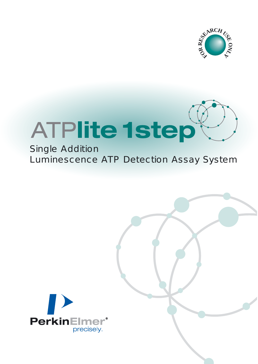



# Single Addition Luminescence ATP Detection Assay System

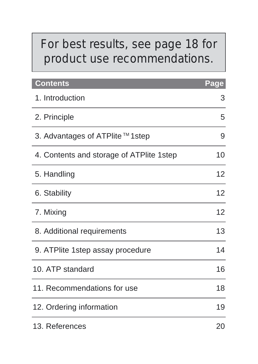# *For best results, see page 18 for product use recommendations.*

| Contents                                 | Page |
|------------------------------------------|------|
| 1. Introduction                          | 3    |
| 2. Principle                             | 5    |
| 3. Advantages of ATPlite™1step           | 9    |
| 4. Contents and storage of ATPlite 1step | 10   |
| 5. Handling                              | 12   |
| 6. Stability                             | 12   |
| 7. Mixing                                | 12   |
| 8. Additional requirements               | 13   |
| 9. ATPlite 1step assay procedure         | 14   |
| 10. ATP standard                         | 16   |
| 11. Recommendations for use              | 18   |
| 12. Ordering information                 | 19   |
| 13. References                           | 20   |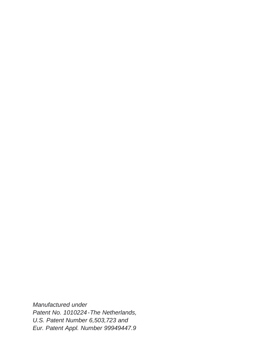Manufactured under Patent No. 1010224-The Netherlands, U.S. Patent Number 6,503,723 and Eur. Patent Appl. Number 99949447.9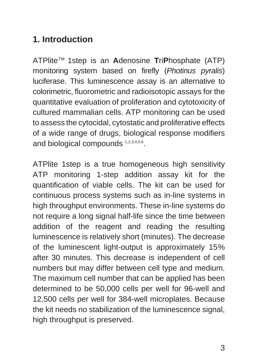# **1. Introduction**

ATPliteTM 1step is an **A**denosine **T**ri**P**hosphate (ATP) monitoring system based on firefly (Photinus pyralis) luciferase. This luminescence assay is an alternative to colorimetric, fluorometric and radioisotopic assays for the quantitative evaluation of proliferation and cytotoxicity of cultured mammalian cells. ATP monitoring can be used to assess the cytocidal, cytostatic and proliferative effects of a wide range of drugs, biological response modifiers and biological compounds 1,2,3,4,5,6.

ATPlite 1step is a true homogeneous high sensitivity ATP monitoring 1-step addition assay kit for the quantification of viable cells. The kit can be used for continuous process systems such as in-line systems in high throughput environments. These in-line systems do not require a long signal half-life since the time between addition of the reagent and reading the resulting luminescence is relatively short (minutes). The decrease of the luminescent light-output is approximately 15% after 30 minutes. This decrease is independent of cell numbers but may differ between cell type and medium. The maximum cell number that can be applied has been determined to be 50,000 cells per well for 96-well and 12,500 cells per well for 384-well microplates. Because the kit needs no stabilization of the luminescence signal, high throughput is preserved.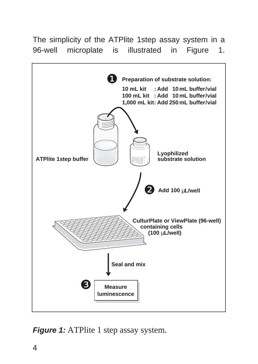The simplicity of the ATPlite 1step assay system in a 96-well microplate is illustrated in Figure 1.



**Figure 1:** ATPlite 1 step assay system.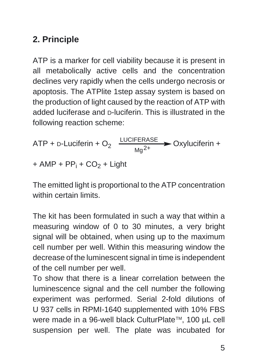# **2. Principle**

ATP is a marker for cell viability because it is present in all metabolically active cells and the concentration declines very rapidly when the cells undergo necrosis or apoptosis. The ATPlite 1step assay system is based on the production of light caused by the reaction of ATP with added luciferase and D-luciferin. This is illustrated in the following reaction scheme:

ATP + D-Luciferin + O<sub>2</sub> 
$$
\xrightarrow{\text{LUCIFERASE}} \text{Oxyluciferin} +
$$
  
+ AMP + PP<sub>i</sub> + CO<sub>2</sub> + Light

The emitted light is proportional to the ATP concentration within certain limits.

The kit has been formulated in such a way that within a measuring window of 0 to 30 minutes, a very bright signal will be obtained, when using up to the maximum cell number per well. Within this measuring window the decrease of the luminescent signal in time is independent of the cell number per well.

To show that there is a linear correlation between the luminescence signal and the cell number the following experiment was performed. Serial 2-fold dilutions of U 937 cells in RPMI-1640 supplemented with 10% FBS were made in a 96-well black CulturPlate™, 100 µL cell suspension per well. The plate was incubated for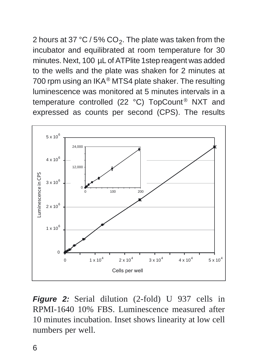2 hours at 37 °C / 5% CO<sub>2</sub>. The plate was taken from the incubator and equilibrated at room temperature for 30 minutes. Next, 100 µL of ATPlite 1step reagent was added to the wells and the plate was shaken for 2 minutes at 700 rpm using an IKA® MTS4 plate shaker. The resulting luminescence was monitored at 5 minutes intervals in a temperature controlled (22  $^{\circ}$ C) TopCount<sup>®</sup> NXT and expressed as counts per second (CPS). The results



**Figure 2:** Serial dilution (2-fold) U 937 cells in RPMI-1640 10% FBS. Luminescence measured after 10 minutes incubation. Inset shows linearity at low cell numbers per well.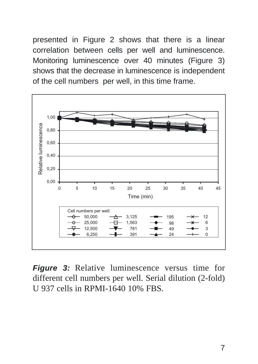presented in Figure 2 shows that there is a linear correlation between cells per well and luminescence. Monitoring luminescence over 40 minutes (Figure 3) shows that the decrease in luminescence is independent of the cell numbers per well, in this time frame.



**Figure 3:** Relative luminescence versus time for different cell numbers per well. Serial dilution (2-fold) U 937 cells in RPMI-1640 10% FBS.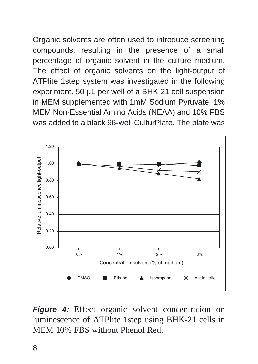Organic solvents are often used to introduce screening compounds, resulting in the presence of a small percentage of organic solvent in the culture medium. The effect of organic solvents on the light-output of ATPlite 1step system was investigated in the following experiment. 50 µL per well of a BHK-21 cell suspension in MEM supplemented with 1mM Sodium Pyruvate, 1% MEM Non-Essential Amino Acids (NEAA) and 10% FBS was added to a black 96-well CulturPlate. The plate was



**Figure 4:** Effect organic solvent concentration on luminescence of ATPlite 1step using BHK-21 cells in MEM 10% FBS without Phenol Red.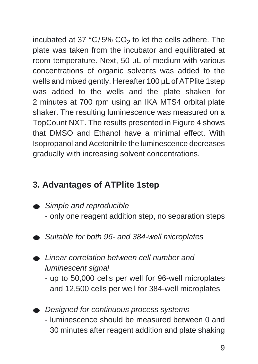incubated at 37  $°C/5\%$  CO<sub>2</sub> to let the cells adhere. The plate was taken from the incubator and equilibrated at room temperature. Next, 50 µL of medium with various concentrations of organic solvents was added to the wells and mixed gently. Hereafter 100 µL of ATPlite 1step was added to the wells and the plate shaken for 2 minutes at 700 rpm using an IKA MTS4 orbital plate shaker. The resulting luminescence was measured on a TopCount NXT. The results presented in Figure 4 shows that DMSO and Ethanol have a minimal effect. With Isopropanol and Acetonitrile the luminescence decreases gradually with increasing solvent concentrations.

## **3. Advantages of ATPlite 1step**

- Simple and reproducible
	- only one reagent addition step, no separation steps
- Suitable for both 96- and 384-well microplates
- Linear correlation between cell number and luminescent signal
	- up to 50,000 cells per well for 96-well microplates and 12,500 cells per well for 384-well microplates
- Designed for continuous process systems - luminescence should be measured between 0 and 30 minutes after reagent addition and plate shaking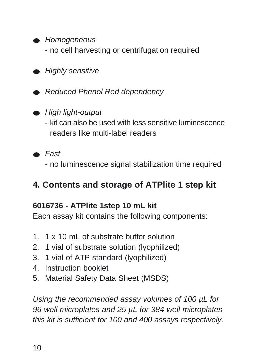- Homogeneous
	- no cell harvesting or centrifugation required
- Highly sensitive
- Reduced Phenol Red dependency
- High light-output
	- kit can also be used with less sensitive luminescence readers like multi-label readers
- Fast
	- no luminescence signal stabilization time required

### **4. Contents and storage of ATPlite 1 step kit**

#### **6016736 - ATPlite 1step 10 mL kit**

Each assay kit contains the following components:

- 1. 1 x 10 mL of substrate buffer solution
- 2. 1 vial of substrate solution (lyophilized)
- 3. 1 vial of ATP standard (lyophilized)
- 4. Instruction booklet
- 5. Material Safety Data Sheet (MSDS)

Using the recommended assay volumes of 100 µL for 96-well microplates and 25  $\mu$ L for 384-well microplates this kit is sufficient for 100 and 400 assays respectively.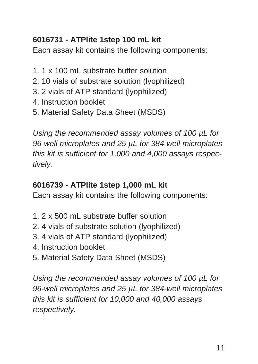### **6016731 - ATPlite 1step 100 mL kit**

Each assay kit contains the following components:

- 1. 1 x 100 mL substrate buffer solution
- 2. 10 vials of substrate solution (lyophilized)
- 3. 2 vials of ATP standard (lyophilized)
- 4. Instruction booklet
- 5. Material Safety Data Sheet (MSDS)

Using the recommended assay volumes of 100 µL for 96-well microplates and 25  $\mu$ L for 384-well microplates this kit is sufficient for 1,000 and 4,000 assays respectively.

#### **6016739 - ATPlite 1step 1,000 mL kit**

Each assay kit contains the following components:

- 1. 2 x 500 mL substrate buffer solution
- 2. 4 vials of substrate solution (lyophilized)
- 3. 4 vials of ATP standard (lyophilized)
- 4. Instruction booklet
- 5. Material Safety Data Sheet (MSDS)

Using the recommended assay volumes of 100 µL for 96-well microplates and 25  $\mu$ L for 384-well microplates this kit is sufficient for 10,000 and 40,000 assays respectively.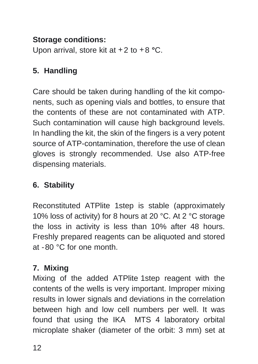#### **Storage conditions:**

Upon arrival, store kit at +2 to +8 **°**C.

#### **5. Handling**

Care should be taken during handling of the kit components, such as opening vials and bottles, to ensure that the contents of these are not contaminated with ATP. Such contamination will cause high background levels. In handling the kit, the skin of the fingers is a very potent source of ATP-contamination, therefore the use of clean gloves is strongly recommended. Use also ATP-free dispensing materials.

### **6. Stability**

Reconstituted ATPlite 1step is stable (approximately 10% loss of activity) for 8 hours at 20 °C. At 2 °C storage the loss in activity is less than 10% after 48 hours. Freshly prepared reagents can be aliquoted and stored at -80 °C for one month.

#### **7. Mixing**

Mixing of the added ATPlite 1step reagent with the contents of the wells is very important. Improper mixing results in lower signals and deviations in the correlation between high and low cell numbers per well. It was found that using the IKA MTS 4 laboratory orbital microplate shaker (diameter of the orbit: 3 mm) set at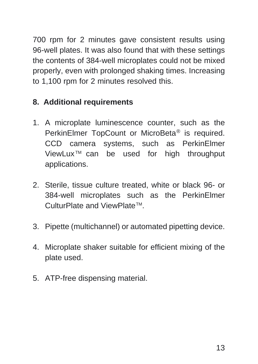700 rpm for 2 minutes gave consistent results using 96-well plates. It was also found that with these settings the contents of 384-well microplates could not be mixed properly, even with prolonged shaking times. Increasing to 1,100 rpm for 2 minutes resolved this.

#### **8. Additional requirements**

- 1. A microplate luminescence counter, such as the PerkinElmer TopCount or MicroBeta® is required. CCD camera systems, such as PerkinElmer ViewLux TM can be used for high throughput applications.
- 2. Sterile, tissue culture treated, white or black 96- or 384-well microplates such as the PerkinElmer CulturPlate and ViewPlate™.
- 3. Pipette (multichannel) or automated pipetting device.
- 4. Microplate shaker suitable for efficient mixing of the plate used.
- 5. ATP-free dispensing material.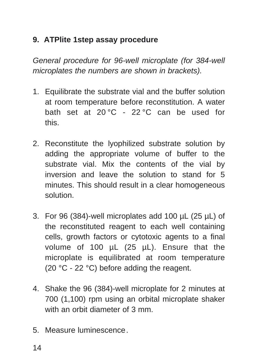#### **9. ATPlite 1step assay procedure**

General procedure for 96-well microplate (for 384-well microplates the numbers are shown in brackets).

- 1. Equilibrate the substrate vial and the buffer solution at room temperature before reconstitution. A water bath set at 20 °C - 22 °C can be used for this.
- 2. Reconstitute the lyophilized substrate solution by adding the appropriate volume of buffer to the substrate vial. Mix the contents of the vial by inversion and leave the solution to stand for 5 minutes. This should result in a clear homogeneous solution.
- 3. For 96 (384)-well microplates add 100 µL (25 µL) of the reconstituted reagent to each well containing cells, growth factors or cytotoxic agents to a final volume of 100 µL (25 µL). Ensure that the microplate is equilibrated at room temperature (20 °C - 22 °C) before adding the reagent.
- 4. Shake the 96 (384)-well microplate for 2 minutes at 700 (1,100) rpm using an orbital microplate shaker with an orbit diameter of 3 mm.
- 5. Measure luminescence.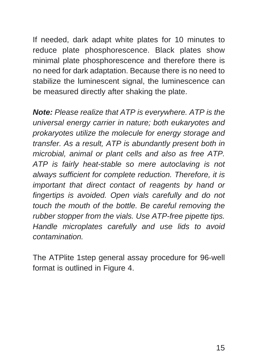If needed, dark adapt white plates for 10 minutes to reduce plate phosphorescence. Black plates show minimal plate phosphorescence and therefore there is no need for dark adaptation. Because there is no need to stabilize the luminescent signal, the luminescence can be measured directly after shaking the plate.

**Note:** Please realize that ATP is everywhere. ATP is the universal energy carrier in nature; both eukaryotes and prokaryotes utilize the molecule for energy storage and transfer. As a result, ATP is abundantly present both in microbial, animal or plant cells and also as free ATP. ATP is fairly heat-stable so mere autoclaving is not always sufficient for complete reduction. Therefore, it is important that direct contact of reagents by hand or fingertips is avoided. Open vials carefully and do not touch the mouth of the bottle. Be careful removing the rubber stopper from the vials. Use ATP-free pipette tips. Handle microplates carefully and use lids to avoid contamination.

The ATPlite 1step general assay procedure for 96-well format is outlined in Figure 4.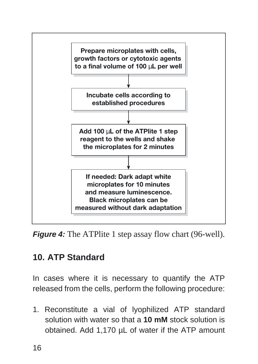

**Figure 4:** The ATPlite 1 step assay flow chart (96-well).

# **10. ATP Standard**

In cases where it is necessary to quantify the ATP released from the cells, perform the following procedure:

1. Reconstitute a vial of lyophilized ATP standard solution with water so that a **10 mM** stock solution is obtained. Add 1,170 µL of water if the ATP amount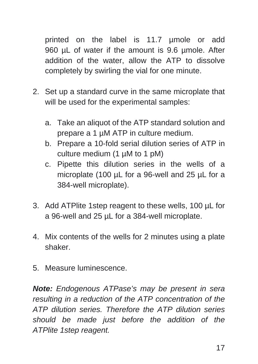printed on the label is 11.7 µmole or add 960 uL of water if the amount is 9.6 umole. After addition of the water, allow the ATP to dissolve completely by swirling the vial for one minute.

- 2. Set up a standard curve in the same microplate that will be used for the experimental samples:
	- a. Take an aliquot of the ATP standard solution and prepare a 1 µM ATP in culture medium.
	- b. Prepare a 10-fold serial dilution series of ATP in culture medium (1 µM to 1 pM)
	- c. Pipette this dilution series in the wells of a microplate (100 µL for a 96-well and 25 µL for a 384-well microplate).
- 3. Add ATPlite 1step reagent to these wells, 100 µL for a 96-well and 25 µL for a 384-well microplate.
- 4. Mix contents of the wells for 2 minutes using a plate shaker.
- 5. Measure luminescence.

**Note:** Endogenous ATPase's may be present in sera resulting in a reduction of the ATP concentration of the ATP dilution series. Therefore the ATP dilution series should be made just before the addition of the ATPlite 1step reagent.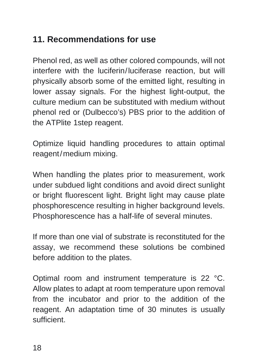# **11. Recommendations for use**

Phenol red, as well as other colored compounds, will not interfere with the luciferin/luciferase reaction, but will physically absorb some of the emitted light, resulting in lower assay signals. For the highest light-output, the culture medium can be substituted with medium without phenol red or (Dulbecco's) PBS prior to the addition of the ATPlite 1step reagent.

Optimize liquid handling procedures to attain optimal reagent/medium mixing.

When handling the plates prior to measurement, work under subdued light conditions and avoid direct sunlight or bright fluorescent light. Bright light may cause plate phosphorescence resulting in higher background levels. Phosphorescence has a half-life of several minutes.

If more than one vial of substrate is reconstituted for the assay, we recommend these solutions be combined before addition to the plates.

Optimal room and instrument temperature is 22 °C. Allow plates to adapt at room temperature upon removal from the incubator and prior to the addition of the reagent. An adaptation time of 30 minutes is usually sufficient.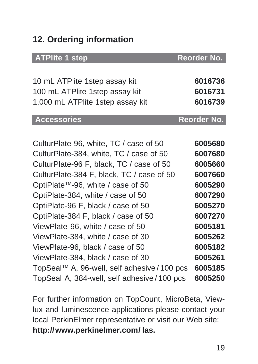# **12. Ordering information**

| <b>ATPlite 1 step</b>                        | Reorder No. |
|----------------------------------------------|-------------|
| 10 mL ATPlite 1step assay kit                | 6016736     |
| 100 mL ATPlite 1step assay kit               | 6016731     |
| 1,000 mL ATPlite 1step assay kit             | 6016739     |
| <b>Accessories</b>                           | Reorder No. |
| CulturPlate-96, white, TC / case of 50       | 6005680     |
| CulturPlate-384, white, TC / case of 50      | 6007680     |
| CulturPlate-96 F, black, TC / case of 50     | 6005660     |
| CulturPlate-384 F, black, TC / case of 50    | 6007660     |
| OptiPlate™-96, white / case of 50            | 6005290     |
| OptiPlate-384, white / case of 50            | 6007290     |
| OptiPlate-96 F, black / case of 50           | 6005270     |
| OptiPlate-384 F, black / case of 50          | 6007270     |
| ViewPlate-96, white / case of 50             | 6005181     |
| ViewPlate-384, white / case of 30            | 6005262     |
| ViewPlate-96, black / case of 50             | 6005182     |
| ViewPlate-384, black / case of 30            | 6005261     |
| TopSeal™ A, 96-well, self adhesive / 100 pcs | 6005185     |
| TopSeal A, 384-well, self adhesive / 100 pcs | 6005250     |

For further information on TopCount, MicroBeta, Viewlux and luminescence applications please contact your local PerkinElmer representative or visit our Web site: **http://www.perkinelmer.com/ las.**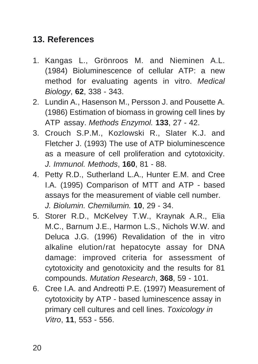### **13. References**

- 1. Kangas L., Grönroos M. and Nieminen A.L. (1984) Bioluminescence of cellular ATP: a new method for evaluating agents in vitro. Medical Biology, **62**, 338 - 343.
- 2. Lundin A., Hasenson M., Persson J. and Pousette A. (1986) Estimation of biomass in growing cell lines by ATP assay. Methods Enzymol. **133**, 27 - 42.
- 3. Crouch S.P.M., Kozlowski R., Slater K.J. and Fletcher J. (1993) The use of ATP bioluminescence as a measure of cell proliferation and cytotoxicity. J. Immunol. Methods, **160**, 81 - 88.
- 4. Petty R.D., Sutherland L.A., Hunter E.M. and Cree I.A. (1995) Comparison of MTT and ATP - based assays for the measurement of viable cell number. J. Biolumin. Chemilumin. **10**, 29 - 34.
- 5. Storer R.D., McKelvey T.W., Kraynak A.R., Elia M.C., Barnum J.E., Harmon L.S., Nichols W.W. and Deluca J.G. (1996) Revalidation of the in vitro alkaline elution/rat hepatocyte assay for DNA damage: improved criteria for assessment of cytotoxicity and genotoxicity and the results for 81 compounds. Mutation Research, **368**, 59 - 101.
- 6. Cree I.A. and Andreotti P.E. (1997) Measurement of cytotoxicity by ATP - based luminescence assay in primary cell cultures and cell lines. Toxicology in Vitro, **11**, 553 - 556.